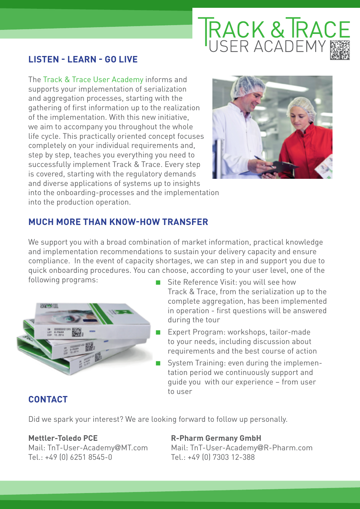# **FRACK & TRACE**<br>USER ACADEMY

## **Listen - Learn - Go Live**

The Track & Trace User Academy informs and supports your implementation of serialization and aggregation processes, starting with the gathering of first information up to the realization of the implementation. With this new initiative, we aim to accompany you throughout the whole life cycle. This practically oriented concept focuses completely on your individual requirements and, step by step, teaches you everything you need to successfully implement Track & Trace. Every step is covered, starting with the regulatory demands and diverse applications of systems up to insights



into the onboarding-processes and the implementation into the production operation.

## **MUCH MORE THAN KNOW-HOW TRANSFER**

We support you with a broad combination of market information, practical knowledge and implementation recommendations to sustain your delivery capacity and ensure compliance. In the event of capacity shortages, we can step in and support you due to quick onboarding procedures. You can choose, according to your user level, one of the following programs:



- Site Reference Visit: you will see how Track & Trace, from the serialization up to the complete aggregation, has been implemented in operation - first questions will be answered during the tour
- Expert Program: workshops, tailor-made to your needs, including discussion about requirements and the best course of action
- System Training: even during the implementation period we continuously support and guide you with our experience – from user to user

### **CONTACT**

Did we spark your interest? We are looking forward to follow up personally.

Tel.: +49 (0) 6251 8545-0 Tel.: +49 (0) 7303 12-388

**Mettler-Toledo PCE R-Pharm Germany GmbH** Mail: TnT-User-Academy@MT.com Mail: TnT-User-Academy@R-Pharm.com